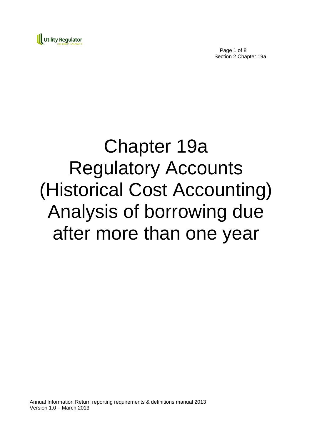

Page 1 of 8 Section 2 Chapter 19a

# Chapter 19a Regulatory Accounts (Historical Cost Accounting) Analysis of borrowing due after more than one year

Annual Information Return reporting requirements & definitions manual 2013 Version 1.0 – March 2013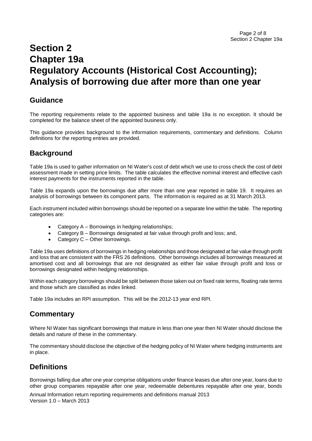## **Section 2 Chapter 19a Regulatory Accounts (Historical Cost Accounting); Analysis of borrowing due after more than one year**

### **Guidance**

The reporting requirements relate to the appointed business and table 19a is no exception. It should be completed for the balance sheet of the appointed business only.

This guidance provides background to the information requirements, commentary and definitions. Column definitions for the reporting entries are provided.

## **Background**

Table 19a is used to gather information on NI Water's cost of debt which we use to cross check the cost of debt assessment made in setting price limits. The table calculates the effective nominal interest and effective cash interest payments for the instruments reported in the table.

Table 19a expands upon the borrowings due after more than one year reported in table 19. It requires an analysis of borrowings between its component parts. The information is required as at 31 March 2013.

Each instrument included within borrowings should be reported on a separate line within the table. The reporting categories are:

- Category A Borrowings in hedging relationships;
- Category B Borrowings designated at fair value through profit and loss; and,
- Category C Other borrowings.

Table 19a uses definitions of borrowings in hedging relationships and those designated at fair value through profit and loss that are consistent with the FRS 26 definitions. Other borrowings includes all borrowings measured at amortised cost and all borrowings that are not designated as either fair value through profit and loss or borrowings designated within hedging relationships.

Within each category borrowings should be split between those taken out on fixed rate terms, floating rate terms and those which are classified as index linked.

Table 19a includes an RPI assumption. This will be the 2012-13 year end RPI.

#### **Commentary**

Where NI Water has significant borrowings that mature in less than one year then NI Water should disclose the details and nature of these in the commentary.

The commentary should disclose the objective of the hedging policy of NI Water where hedging instruments are in place.

## **Definitions**

Borrowings falling due after one year comprise obligations under finance leases due after one year, loans due to other group companies repayable after one year, redeemable debentures repayable after one year, bonds

Annual Information return reporting requirements and definitions manual 2013 Version 1.0 – March 2013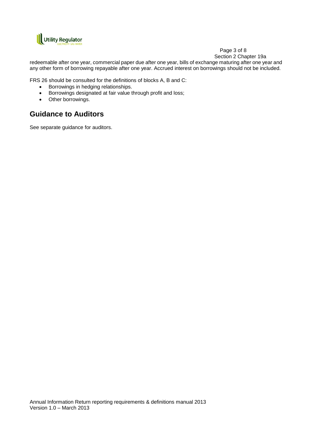

#### Page 3 of 8

Section 2 Chapter 19a

redeemable after one year, commercial paper due after one year, bills of exchange maturing after one year and any other form of borrowing repayable after one year. Accrued interest on borrowings should not be included.

FRS 26 should be consulted for the definitions of blocks A, B and C:

- Borrowings in hedging relationships.
- Borrowings designated at fair value through profit and loss;
- Other borrowings.

## **Guidance to Auditors**

See separate guidance for auditors.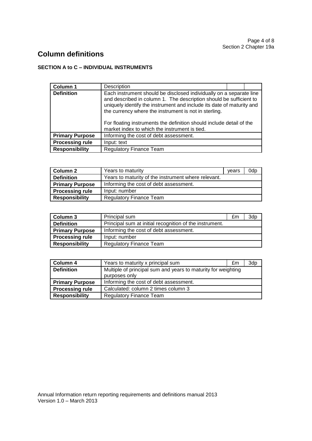Section 2 Chapter 19a Page 4 of 8

## **Column definitions**

#### **SECTION A to C – INDIVIDUAL INSTRUMENTS**

| Column 1               | Description                                                                                                                                                                                                                                                                                                                                                                                          |  |
|------------------------|------------------------------------------------------------------------------------------------------------------------------------------------------------------------------------------------------------------------------------------------------------------------------------------------------------------------------------------------------------------------------------------------------|--|
| <b>Definition</b>      | Each instrument should be disclosed individually on a separate line<br>and described in column 1. The description should be sufficient to<br>uniquely identify the instrument and include its date of maturity and<br>the currency where the instrument is not in sterling.<br>For floating instruments the definition should include detail of the<br>market index to which the instrument is tied. |  |
| <b>Primary Purpose</b> | Informing the cost of debt assessment.                                                                                                                                                                                                                                                                                                                                                               |  |
| <b>Processing rule</b> | Input: text                                                                                                                                                                                                                                                                                                                                                                                          |  |
| <b>Responsibility</b>  | <b>Regulatory Finance Team</b>                                                                                                                                                                                                                                                                                                                                                                       |  |

| <b>Column 2</b>        | Years to maturity                                   | vears | 0dp |
|------------------------|-----------------------------------------------------|-------|-----|
| <b>Definition</b>      | Years to maturity of the instrument where relevant. |       |     |
| <b>Primary Purpose</b> | Informing the cost of debt assessment.              |       |     |
| <b>Processing rule</b> | Input: number                                       |       |     |
| <b>Responsibility</b>  | <b>Regulatory Finance Team</b>                      |       |     |

| Column 3               | Principal sum                                           | £m | 3dp |
|------------------------|---------------------------------------------------------|----|-----|
| <b>Definition</b>      | Principal sum at initial recognition of the instrument. |    |     |
| <b>Primary Purpose</b> | Informing the cost of debt assessment.                  |    |     |
| <b>Processing rule</b> | Input: number                                           |    |     |
| Responsibility         | <b>Regulatory Finance Team</b>                          |    |     |

| Column 4               | Years to maturity x principal sum                                              | £m | 3dp |
|------------------------|--------------------------------------------------------------------------------|----|-----|
| <b>Definition</b>      | Multiple of principal sum and years to maturity for weighting<br>purposes only |    |     |
| <b>Primary Purpose</b> | Informing the cost of debt assessment.                                         |    |     |
| <b>Processing rule</b> | Calculated: column 2 times column 3                                            |    |     |
| <b>Responsibility</b>  | <b>Regulatory Finance Team</b>                                                 |    |     |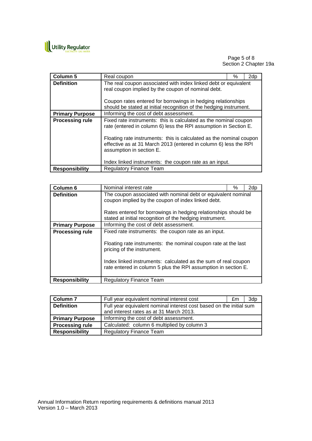

#### Page 5 of 8 Section 2 Chapter 19a

| <b>Column 5</b>        | Real coupon                                                                                                                                                                                                                                                                                                                                                           | % | 2dp |
|------------------------|-----------------------------------------------------------------------------------------------------------------------------------------------------------------------------------------------------------------------------------------------------------------------------------------------------------------------------------------------------------------------|---|-----|
| <b>Definition</b>      | The real coupon associated with index linked debt or equivalent<br>real coupon implied by the coupon of nominal debt.                                                                                                                                                                                                                                                 |   |     |
|                        | Coupon rates entered for borrowings in hedging relationships<br>should be stated at initial recognition of the hedging instrument.                                                                                                                                                                                                                                    |   |     |
| <b>Primary Purpose</b> | Informing the cost of debt assessment.                                                                                                                                                                                                                                                                                                                                |   |     |
| <b>Processing rule</b> | Fixed rate instruments: this is calculated as the nominal coupon<br>rate (entered in column 6) less the RPI assumption in Section E.<br>Floating rate instruments: this is calculated as the nominal coupon<br>effective as at 31 March 2013 (entered in column 6) less the RPI<br>assumption in section E.<br>Index linked instruments: the coupon rate as an input. |   |     |
| <b>Responsibility</b>  | <b>Regulatory Finance Team</b>                                                                                                                                                                                                                                                                                                                                        |   |     |

| Column <sub>6</sub>    | Nominal interest rate                                                                                                                                                                                                            | ℅ | 2dp |
|------------------------|----------------------------------------------------------------------------------------------------------------------------------------------------------------------------------------------------------------------------------|---|-----|
| <b>Definition</b>      | The coupon associated with nominal debt or equivalent nominal<br>coupon implied by the coupon of index linked debt.<br>Rates entered for borrowings in hedging relationships should be                                           |   |     |
| <b>Primary Purpose</b> | stated at initial recognition of the hedging instrument.<br>Informing the cost of debt assessment.                                                                                                                               |   |     |
|                        | Fixed rate instruments: the coupon rate as an input.                                                                                                                                                                             |   |     |
| <b>Processing rule</b> | Floating rate instruments: the nominal coupon rate at the last<br>pricing of the instrument.<br>Index linked instruments: calculated as the sum of real coupon<br>rate entered in column 5 plus the RPI assumption in section E. |   |     |
| <b>Responsibility</b>  | <b>Regulatory Finance Team</b>                                                                                                                                                                                                   |   |     |

| Column <sub>7</sub>    | Full year equivalent nominal interest cost                                                                     | £m | 3dp |
|------------------------|----------------------------------------------------------------------------------------------------------------|----|-----|
| <b>Definition</b>      | Full year equivalent nominal interest cost based on the initial sum<br>and interest rates as at 31 March 2013. |    |     |
|                        |                                                                                                                |    |     |
| <b>Primary Purpose</b> | Informing the cost of debt assessment.                                                                         |    |     |
| <b>Processing rule</b> | Calculated: column 6 multiplied by column 3                                                                    |    |     |
| <b>Responsibility</b>  | <b>Regulatory Finance Team</b>                                                                                 |    |     |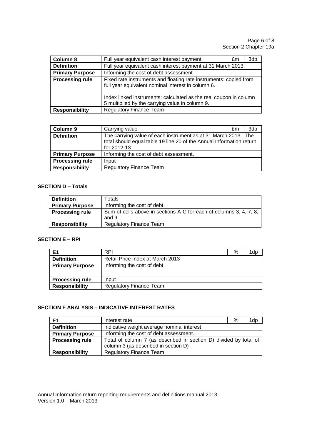| Column 8               | Full year equivalent cash interest payment.                                                                                                                                                                                                     | £m | 3dp |
|------------------------|-------------------------------------------------------------------------------------------------------------------------------------------------------------------------------------------------------------------------------------------------|----|-----|
| <b>Definition</b>      | Full year equivalent cash interest payment at 31 March 2013.                                                                                                                                                                                    |    |     |
| <b>Primary Purpose</b> | Informing the cost of debt assessment                                                                                                                                                                                                           |    |     |
| <b>Processing rule</b> | Fixed rate instruments and floating rate instruments: copied from<br>full year equivalent nominal interest in column 6.<br>Index linked instruments: calculated as the real coupon in column<br>5 multiplied by the carrying value in column 9. |    |     |
| <b>Responsibility</b>  | <b>Regulatory Finance Team</b>                                                                                                                                                                                                                  |    |     |

| Column 9               | Carrying value                                                                                                                                         | £m | 3dp |
|------------------------|--------------------------------------------------------------------------------------------------------------------------------------------------------|----|-----|
| <b>Definition</b>      | The carrying value of each instrument as at 31 March 2013. The<br>total should equal table 19 line 20 of the Annual Information return<br>for 2012-13. |    |     |
| <b>Primary Purpose</b> | Informing the cost of debt assessment.                                                                                                                 |    |     |
| <b>Processing rule</b> | Input                                                                                                                                                  |    |     |
| <b>Responsibility</b>  | <b>Regulatory Finance Team</b>                                                                                                                         |    |     |

#### **SECTION D – Totals**

| <b>Definition</b>      | Totals                                                                      |
|------------------------|-----------------------------------------------------------------------------|
| <b>Primary Purpose</b> | Informing the cost of debt.                                                 |
| <b>Processing rule</b> | Sum of cells above in sections A-C for each of columns 3, 4, 7, 8,<br>and 9 |
| <b>Responsibility</b>  | <b>Regulatory Finance Team</b>                                              |

#### **SECTION E – RPI**

| E1                     | <b>RPI</b>                       | % | l dp |
|------------------------|----------------------------------|---|------|
| <b>Definition</b>      | Retail Price Index at March 2013 |   |      |
| <b>Primary Purpose</b> | Informing the cost of debt.      |   |      |
|                        |                                  |   |      |
| <b>Processing rule</b> | Input                            |   |      |
| <b>Responsibility</b>  | <b>Regulatory Finance Team</b>   |   |      |

#### **SECTION F ANALYSIS – INDICATIVE INTEREST RATES**

| F1                     | Interest rate                                                                                             | ℅ | 1dp |
|------------------------|-----------------------------------------------------------------------------------------------------------|---|-----|
| <b>Definition</b>      | Indicative weight average nominal interest                                                                |   |     |
| <b>Primary Purpose</b> | Informing the cost of debt assessment.                                                                    |   |     |
| <b>Processing rule</b> | Total of column 7 (as described in section D) divided by total of<br>column 3 (as described in section D) |   |     |
| <b>Responsibility</b>  | <b>Regulatory Finance Team</b>                                                                            |   |     |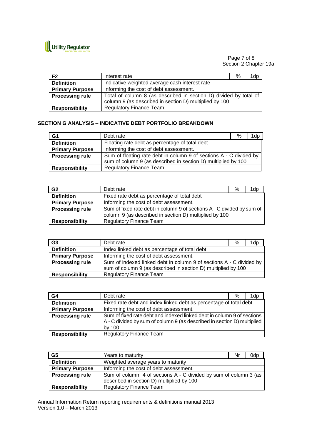

Page 7 of 8 Section 2 Chapter 19a

| F <sub>2</sub>         | Interest rate                                                     | % | 1dp |
|------------------------|-------------------------------------------------------------------|---|-----|
| <b>Definition</b>      | Indicative weighted average cash interest rate                    |   |     |
| <b>Primary Purpose</b> | Informing the cost of debt assessment.                            |   |     |
| <b>Processing rule</b> | Total of column 8 (as described in section D) divided by total of |   |     |
|                        | column 9 (as described in section D) multiplied by 100            |   |     |
| <b>Responsibility</b>  | <b>Regulatory Finance Team</b>                                    |   |     |
|                        |                                                                   |   |     |

#### **SECTION G ANALYSIS – INDICATIVE DEBT PORTFOLIO BREAKDOWN**

| G1                     | Debt rate                                                          | % | 1dp |
|------------------------|--------------------------------------------------------------------|---|-----|
| <b>Definition</b>      | Floating rate debt as percentage of total debt                     |   |     |
| <b>Primary Purpose</b> | Informing the cost of debt assessment.                             |   |     |
| <b>Processing rule</b> | Sum of floating rate debt in column 9 of sections A - C divided by |   |     |
|                        | sum of column 9 (as described in section D) multiplied by 100      |   |     |
| <b>Responsibility</b>  | <b>Regulatory Finance Team</b>                                     |   |     |

| G <sub>2</sub>         | Debt rate                                                                                                                        | % | 1dp |
|------------------------|----------------------------------------------------------------------------------------------------------------------------------|---|-----|
| <b>Definition</b>      | Fixed rate debt as percentage of total debt                                                                                      |   |     |
| <b>Primary Purpose</b> | Informing the cost of debt assessment.                                                                                           |   |     |
| <b>Processing rule</b> | Sum of fixed rate debt in column 9 of sections A - C divided by sum of<br>column 9 (as described in section D) multiplied by 100 |   |     |
| <b>Responsibility</b>  | <b>Regulatory Finance Team</b>                                                                                                   |   |     |

| G <sub>3</sub>         | Debt rate                                                           | % | 1dp |
|------------------------|---------------------------------------------------------------------|---|-----|
| <b>Definition</b>      | Index linked debt as percentage of total debt                       |   |     |
| <b>Primary Purpose</b> | Informing the cost of debt assessment.                              |   |     |
| <b>Processing rule</b> | Sum of indexed linked debt in column 9 of sections A - C divided by |   |     |
|                        | sum of column 9 (as described in section D) multiplied by 100       |   |     |
| <b>Responsibility</b>  | <b>Regulatory Finance Team</b>                                      |   |     |

| G4                     | Debt rate<br>%<br>1dp                                                                                                                                       |
|------------------------|-------------------------------------------------------------------------------------------------------------------------------------------------------------|
| <b>Definition</b>      | Fixed rate debt and index linked debt as percentage of total debt                                                                                           |
| <b>Primary Purpose</b> | Informing the cost of debt assessment.                                                                                                                      |
| <b>Processing rule</b> | Sum of fixed rate debt and indexed linked debt in column 9 of sections<br>A - C divided by sum of column 9 (as described in section D) multiplied<br>by 100 |
| <b>Responsibility</b>  | <b>Regulatory Finance Team</b>                                                                                                                              |

| G <sub>5</sub>         | Years to maturity                                                | Nr | 0dp |
|------------------------|------------------------------------------------------------------|----|-----|
| <b>Definition</b>      | Weighted average years to maturity                               |    |     |
| <b>Primary Purpose</b> | Informing the cost of debt assessment.                           |    |     |
| <b>Processing rule</b> | Sum of column 4 of sections A - C divided by sum of column 3 (as |    |     |
|                        | described in section D) multiplied by 100                        |    |     |
| <b>Responsibility</b>  | <b>Regulatory Finance Team</b>                                   |    |     |

Annual Information Return reporting requirements & definitions manual 2013 Version 1.0 – March 2013